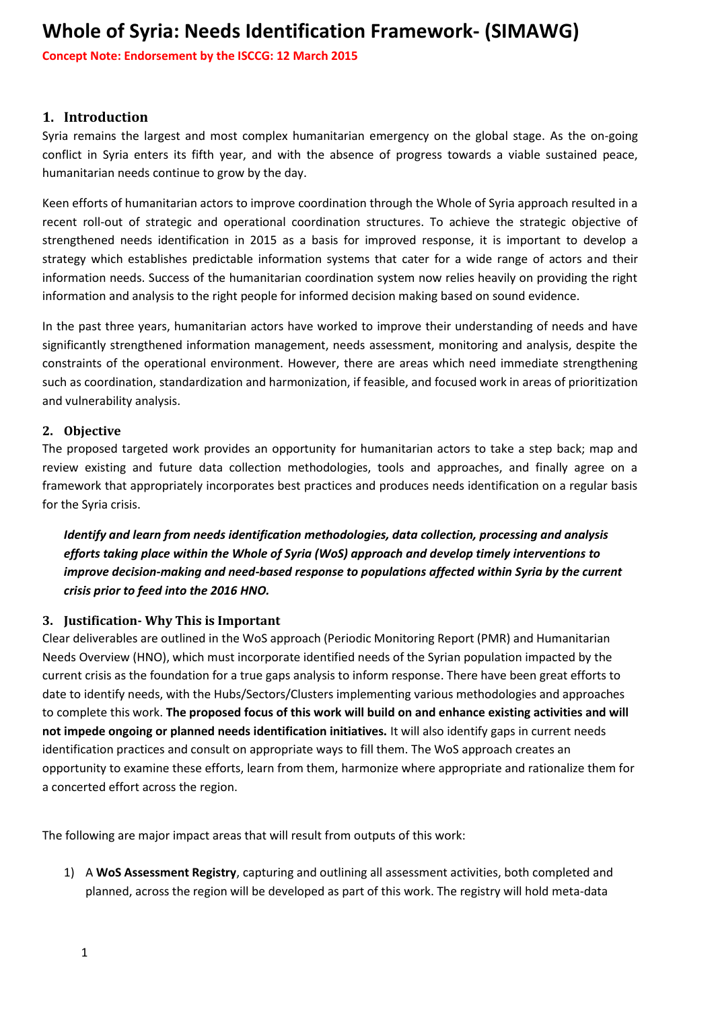**Concept Note: Endorsement by the ISCCG: 12 March 2015** 

### **1. Introduction**

Syria remains the largest and most complex humanitarian emergency on the global stage. As the on-going conflict in Syria enters its fifth year, and with the absence of progress towards a viable sustained peace, humanitarian needs continue to grow by the day.

Keen efforts of humanitarian actors to improve coordination through the Whole of Syria approach resulted in a recent roll-out of strategic and operational coordination structures. To achieve the strategic objective of strengthened needs identification in 2015 as a basis for improved response, it is important to develop a strategy which establishes predictable information systems that cater for a wide range of actors and their information needs. Success of the humanitarian coordination system now relies heavily on providing the right information and analysis to the right people for informed decision making based on sound evidence.

In the past three years, humanitarian actors have worked to improve their understanding of needs and have significantly strengthened information management, needs assessment, monitoring and analysis, despite the constraints of the operational environment. However, there are areas which need immediate strengthening such as coordination, standardization and harmonization, if feasible, and focused work in areas of prioritization and vulnerability analysis.

### **2. Objective**

The proposed targeted work provides an opportunity for humanitarian actors to take a step back; map and review existing and future data collection methodologies, tools and approaches, and finally agree on a framework that appropriately incorporates best practices and produces needs identification on a regular basis for the Syria crisis.

*Identify and learn from needs identification methodologies, data collection, processing and analysis efforts taking place within the Whole of Syria (WoS) approach and develop timely interventions to improve decision-making and need-based response to populations affected within Syria by the current crisis prior to feed into the 2016 HNO.*

### **3. Justification- Why This is Important**

Clear deliverables are outlined in the WoS approach (Periodic Monitoring Report (PMR) and Humanitarian Needs Overview (HNO), which must incorporate identified needs of the Syrian population impacted by the current crisis as the foundation for a true gaps analysis to inform response. There have been great efforts to date to identify needs, with the Hubs/Sectors/Clusters implementing various methodologies and approaches to complete this work. **The proposed focus of this work will build on and enhance existing activities and will not impede ongoing or planned needs identification initiatives.** It will also identify gaps in current needs identification practices and consult on appropriate ways to fill them. The WoS approach creates an opportunity to examine these efforts, learn from them, harmonize where appropriate and rationalize them for a concerted effort across the region.

The following are major impact areas that will result from outputs of this work:

1) A **WoS Assessment Registry**, capturing and outlining all assessment activities, both completed and planned, across the region will be developed as part of this work. The registry will hold meta-data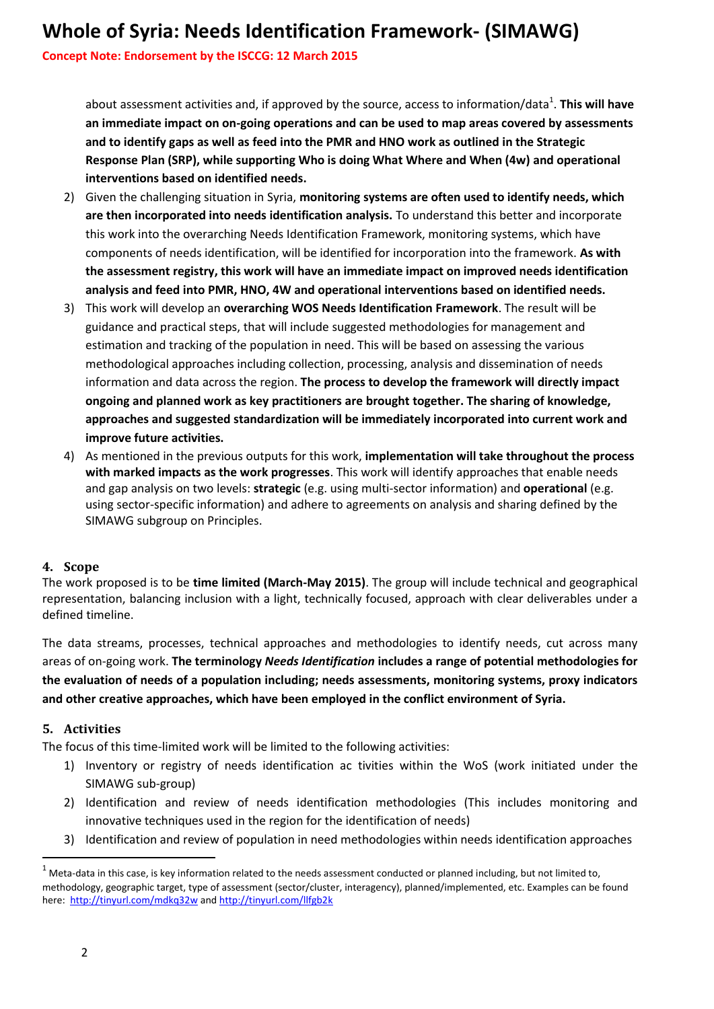**Concept Note: Endorsement by the ISCCG: 12 March 2015** 

about assessment activities and, if approved by the source, access to information/data<sup>1</sup>. This will have **an immediate impact on on-going operations and can be used to map areas covered by assessments and to identify gaps as well as feed into the PMR and HNO work as outlined in the Strategic Response Plan (SRP), while supporting Who is doing What Where and When (4w) and operational interventions based on identified needs.** 

- 2) Given the challenging situation in Syria, **monitoring systems are often used to identify needs, which are then incorporated into needs identification analysis.** To understand this better and incorporate this work into the overarching Needs Identification Framework, monitoring systems, which have components of needs identification, will be identified for incorporation into the framework. **As with the assessment registry, this work will have an immediate impact on improved needs identification analysis and feed into PMR, HNO, 4W and operational interventions based on identified needs.**
- 3) This work will develop an **overarching WOS Needs Identification Framework**. The result will be guidance and practical steps, that will include suggested methodologies for management and estimation and tracking of the population in need. This will be based on assessing the various methodological approaches including collection, processing, analysis and dissemination of needs information and data across the region. **The process to develop the framework will directly impact ongoing and planned work as key practitioners are brought together. The sharing of knowledge, approaches and suggested standardization will be immediately incorporated into current work and improve future activities.**
- 4) As mentioned in the previous outputs for this work, **implementation will take throughout the process with marked impacts as the work progresses**. This work will identify approaches that enable needs and gap analysis on two levels: **strategic** (e.g. using multi-sector information) and **operational** (e.g. using sector-specific information) and adhere to agreements on analysis and sharing defined by the SIMAWG subgroup on Principles.

### **4. Scope**

The work proposed is to be **time limited (March-May 2015)**. The group will include technical and geographical representation, balancing inclusion with a light, technically focused, approach with clear deliverables under a defined timeline.

The data streams, processes, technical approaches and methodologies to identify needs, cut across many areas of on-going work. **The terminology** *Needs Identification* **includes a range of potential methodologies for the evaluation of needs of a population including; needs assessments, monitoring systems, proxy indicators and other creative approaches, which have been employed in the conflict environment of Syria.** 

### **5. Activities**

The focus of this time-limited work will be limited to the following activities:

- 1) Inventory or registry of needs identification ac tivities within the WoS (work initiated under the SIMAWG sub-group)
- 2) Identification and review of needs identification methodologies (This includes monitoring and innovative techniques used in the region for the identification of needs)
- 3) Identification and review of population in need methodologies within needs identification approaches

 $\overline{\phantom{a}}$ 

 $1$  Meta-data in this case, is key information related to the needs assessment conducted or planned including, but not limited to, methodology, geographic target, type of assessment (sector/cluster, interagency), planned/implemented, etc. Examples can be found here:<http://tinyurl.com/mdkq32w> and<http://tinyurl.com/llfgb2k>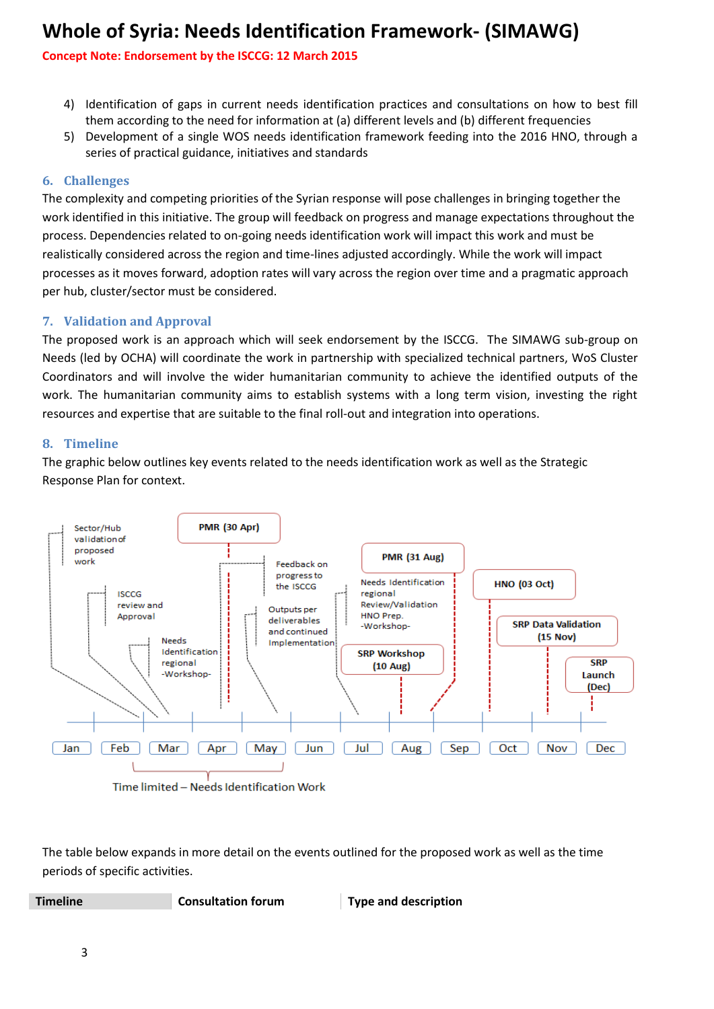## **Concept Note: Endorsement by the ISCCG: 12 March 2015**

- 4) Identification of gaps in current needs identification practices and consultations on how to best fill them according to the need for information at (a) different levels and (b) different frequencies
- 5) Development of a single WOS needs identification framework feeding into the 2016 HNO, through a series of practical guidance, initiatives and standards

## **6. Challenges**

The complexity and competing priorities of the Syrian response will pose challenges in bringing together the work identified in this initiative. The group will feedback on progress and manage expectations throughout the process. Dependencies related to on-going needs identification work will impact this work and must be realistically considered across the region and time-lines adjusted accordingly. While the work will impact processes as it moves forward, adoption rates will vary across the region over time and a pragmatic approach per hub, cluster/sector must be considered.

## **7. Validation and Approval**

The proposed work is an approach which will seek endorsement by the ISCCG. The SIMAWG sub-group on Needs (led by OCHA) will coordinate the work in partnership with specialized technical partners, WoS Cluster Coordinators and will involve the wider humanitarian community to achieve the identified outputs of the work. The humanitarian community aims to establish systems with a long term vision, investing the right resources and expertise that are suitable to the final roll-out and integration into operations.

### **8. Timeline**

The graphic below outlines key events related to the needs identification work as well as the Strategic Response Plan for context.



Time limited - Needs Identification Work

The table below expands in more detail on the events outlined for the proposed work as well as the time periods of specific activities.

**Timeline Consultation forum Type and description**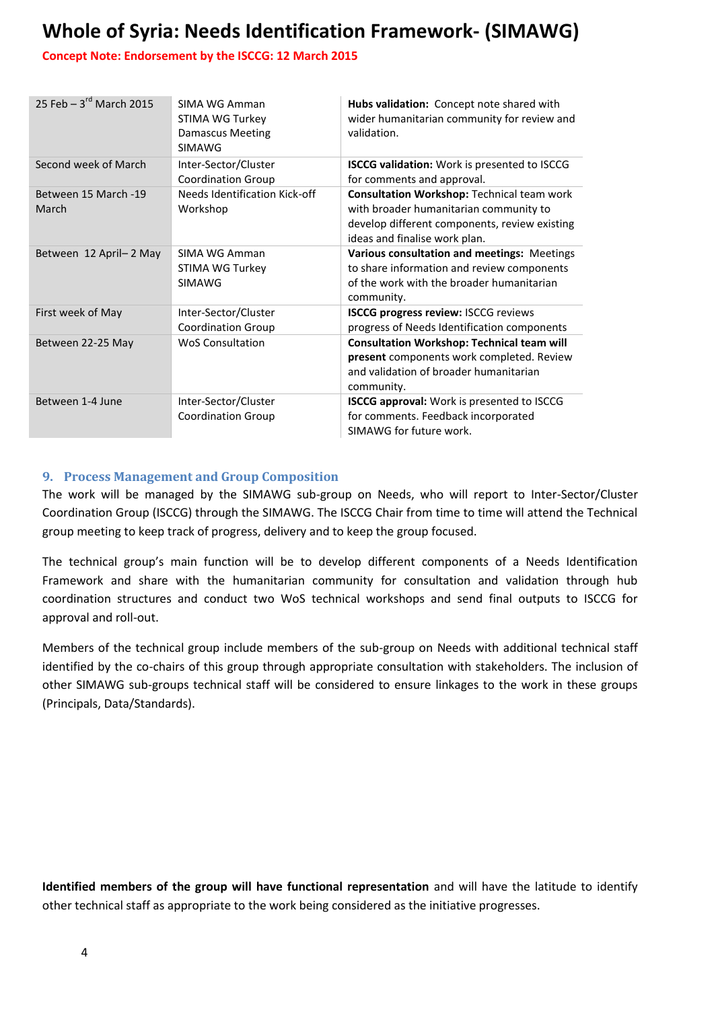## **Concept Note: Endorsement by the ISCCG: 12 March 2015**

| 25 Feb $-3^{rd}$ March 2015   | SIMA WG Amman<br><b>STIMA WG Turkey</b><br><b>Damascus Meeting</b><br><b>SIMAWG</b> | Hubs validation: Concept note shared with<br>wider humanitarian community for review and<br>validation.                                                                       |
|-------------------------------|-------------------------------------------------------------------------------------|-------------------------------------------------------------------------------------------------------------------------------------------------------------------------------|
| Second week of March          | Inter-Sector/Cluster<br><b>Coordination Group</b>                                   | <b>ISCCG validation:</b> Work is presented to ISCCG<br>for comments and approval.                                                                                             |
| Between 15 March -19<br>March | Needs Identification Kick-off<br>Workshop                                           | <b>Consultation Workshop: Technical team work</b><br>with broader humanitarian community to<br>develop different components, review existing<br>ideas and finalise work plan. |
| Between 12 April-2 May        | SIMA WG Amman<br>STIMA WG Turkey<br><b>SIMAWG</b>                                   | Various consultation and meetings: Meetings<br>to share information and review components<br>of the work with the broader humanitarian<br>community.                          |
| First week of May             | Inter-Sector/Cluster<br><b>Coordination Group</b>                                   | ISCCG progress review: ISCCG reviews<br>progress of Needs Identification components                                                                                           |
| Between 22-25 May             | <b>WoS Consultation</b>                                                             | <b>Consultation Workshop: Technical team will</b><br>present components work completed. Review<br>and validation of broader humanitarian<br>community.                        |
| Between 1-4 June              | Inter-Sector/Cluster<br><b>Coordination Group</b>                                   | <b>ISCCG approval:</b> Work is presented to ISCCG<br>for comments. Feedback incorporated<br>SIMAWG for future work.                                                           |

## **9. Process Management and Group Composition**

The work will be managed by the SIMAWG sub-group on Needs, who will report to Inter-Sector/Cluster Coordination Group (ISCCG) through the SIMAWG. The ISCCG Chair from time to time will attend the Technical group meeting to keep track of progress, delivery and to keep the group focused.

The technical group's main function will be to develop different components of a Needs Identification Framework and share with the humanitarian community for consultation and validation through hub coordination structures and conduct two WoS technical workshops and send final outputs to ISCCG for approval and roll-out.

Members of the technical group include members of the sub-group on Needs with additional technical staff identified by the co-chairs of this group through appropriate consultation with stakeholders. The inclusion of other SIMAWG sub-groups technical staff will be considered to ensure linkages to the work in these groups (Principals, Data/Standards).

**Identified members of the group will have functional representation** and will have the latitude to identify other technical staff as appropriate to the work being considered as the initiative progresses.